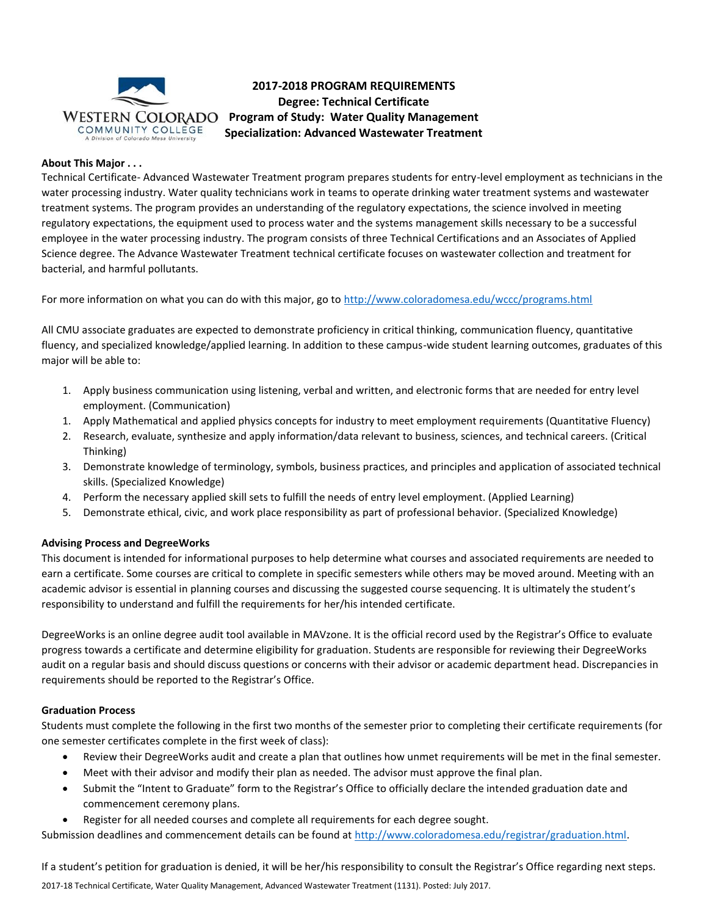

# **2017-2018 PROGRAM REQUIREMENTS Degree: Technical Certificate Program of Study: Water Quality Management Specialization: Advanced Wastewater Treatment**

# **About This Major . . .**

Technical Certificate- Advanced Wastewater Treatment program prepares students for entry-level employment as technicians in the water processing industry. Water quality technicians work in teams to operate drinking water treatment systems and wastewater treatment systems. The program provides an understanding of the regulatory expectations, the science involved in meeting regulatory expectations, the equipment used to process water and the systems management skills necessary to be a successful employee in the water processing industry. The program consists of three Technical Certifications and an Associates of Applied Science degree. The Advance Wastewater Treatment technical certificate focuses on wastewater collection and treatment for bacterial, and harmful pollutants.

For more information on what you can do with this major, go to<http://www.coloradomesa.edu/wccc/programs.html>

All CMU associate graduates are expected to demonstrate proficiency in critical thinking, communication fluency, quantitative fluency, and specialized knowledge/applied learning. In addition to these campus-wide student learning outcomes, graduates of this major will be able to:

- 1. Apply business communication using listening, verbal and written, and electronic forms that are needed for entry level employment. (Communication)
- 1. Apply Mathematical and applied physics concepts for industry to meet employment requirements (Quantitative Fluency)
- 2. Research, evaluate, synthesize and apply information/data relevant to business, sciences, and technical careers. (Critical Thinking)
- 3. Demonstrate knowledge of terminology, symbols, business practices, and principles and application of associated technical skills. (Specialized Knowledge)
- 4. Perform the necessary applied skill sets to fulfill the needs of entry level employment. (Applied Learning)
- 5. Demonstrate ethical, civic, and work place responsibility as part of professional behavior. (Specialized Knowledge)

# **Advising Process and DegreeWorks**

This document is intended for informational purposes to help determine what courses and associated requirements are needed to earn a certificate. Some courses are critical to complete in specific semesters while others may be moved around. Meeting with an academic advisor is essential in planning courses and discussing the suggested course sequencing. It is ultimately the student's responsibility to understand and fulfill the requirements for her/his intended certificate.

DegreeWorks is an online degree audit tool available in MAVzone. It is the official record used by the Registrar's Office to evaluate progress towards a certificate and determine eligibility for graduation. Students are responsible for reviewing their DegreeWorks audit on a regular basis and should discuss questions or concerns with their advisor or academic department head. Discrepancies in requirements should be reported to the Registrar's Office.

# **Graduation Process**

Students must complete the following in the first two months of the semester prior to completing their certificate requirements (for one semester certificates complete in the first week of class):

- Review their DegreeWorks audit and create a plan that outlines how unmet requirements will be met in the final semester.
- Meet with their advisor and modify their plan as needed. The advisor must approve the final plan.
- Submit the "Intent to Graduate" form to the Registrar's Office to officially declare the intended graduation date and commencement ceremony plans.
- Register for all needed courses and complete all requirements for each degree sought.

Submission deadlines and commencement details can be found at [http://www.coloradomesa.edu/registrar/graduation.html.](http://www.coloradomesa.edu/registrar/graduation.html)

2017-18 Technical Certificate, Water Quality Management, Advanced Wastewater Treatment (1131). Posted: July 2017. If a student's petition for graduation is denied, it will be her/his responsibility to consult the Registrar's Office regarding next steps.